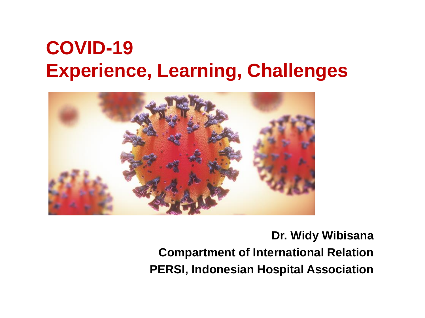#### **COVID-19 Experience, Learning, Challenges**



#### **Dr. Widy Wibisana Compartment of International Relation PERSI, Indonesian Hospital Association**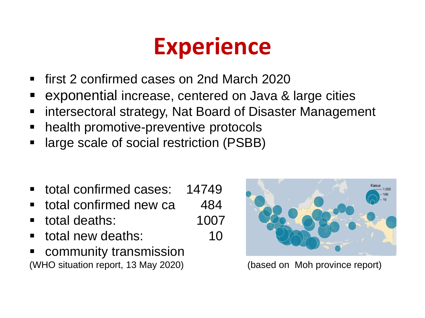#### **Experience**

- first 2 confirmed cases on 2nd March 2020
- exponential increase, centered on Java & large cities
- **EXT** intersectoral strategy, Nat Board of Disaster Management
- health promotive-preventive protocols
- **Example 3 I** arge scale of social restriction (PSBB)
- total confirmed cases: 14749
- total confirmed new ca 484
- total deaths: 1007
- total new deaths: 10
- community transmission (WHO situation report, 13 May 2020) (based on Moh province report)

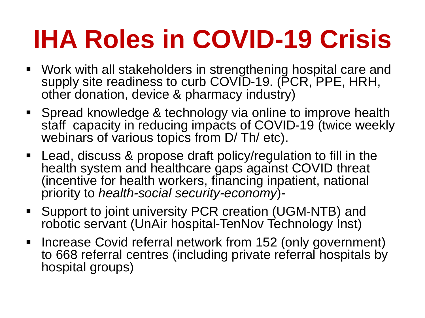## **IHA Roles in COVID-19 Crisis**

- Work with all stakeholders in strengthening hospital care and supply site readiness to curb COVID-19. (PCR, PPE, HRH, other donation, device & pharmacy industry)
- Spread knowledge & technology via online to improve health staff capacity in reducing impacts of COVID-19 (twice weekly webinars of various topics from D/Th/ etc).
- Lead, discuss & propose draft policy/regulation to fill in the health system and healthcare gaps against COVID threat (incentive for health workers, financing inpatient, national priority to *health-social security-economy*)-
- Support to joint university PCR creation (UGM-NTB) and robotic servant (UnAir hospital-TenNov Technology Inst)
- **Increase Covid referral network from 152 (only government)** to 668 referral centres (including private referral hospitals by hospital groups)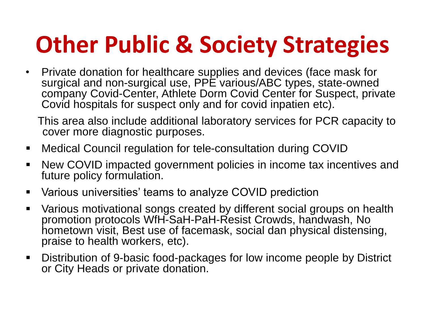#### **Other Public & Society Strategies**

• Private donation for healthcare supplies and devices (face mask for surgical and non-surgical use, PPE various/ABC types, state-owned company Covid-Center, Athlete Dorm Covid Center for Suspect, private Covid hospitals for suspect only and for covid inpatien etc).

This area also include additional laboratory services for PCR capacity to cover more diagnostic purposes.

- Medical Council regulation for tele-consultation during COVID
- New COVID impacted government policies in income tax incentives and future policy formulation.
- Various universities' teams to analyze COVID prediction
- Various motivational songs created by different social groups on health promotion protocols WfH-SaH-PaH-Resist Crowds, handwash, No hometown visit, Best use of facemask, social dan physical distensing, praise to health workers, etc).
- Distribution of 9-basic food-packages for low income people by District or City Heads or private donation.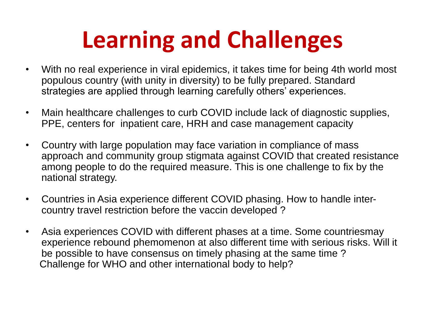#### **Learning and Challenges**

- With no real experience in viral epidemics, it takes time for being 4th world most populous country (with unity in diversity) to be fully prepared. Standard strategies are applied through learning carefully others' experiences.
- Main healthcare challenges to curb COVID include lack of diagnostic supplies, PPE, centers for inpatient care, HRH and case management capacity
- Country with large population may face variation in compliance of mass approach and community group stigmata against COVID that created resistance among people to do the required measure. This is one challenge to fix by the national strategy.
- Countries in Asia experience different COVID phasing. How to handle intercountry travel restriction before the vaccin developed ?
- Asia experiences COVID with different phases at a time. Some countriesmay experience rebound phemomenon at also different time with serious risks. Will it be possible to have consensus on timely phasing at the same time ? Challenge for WHO and other international body to help?